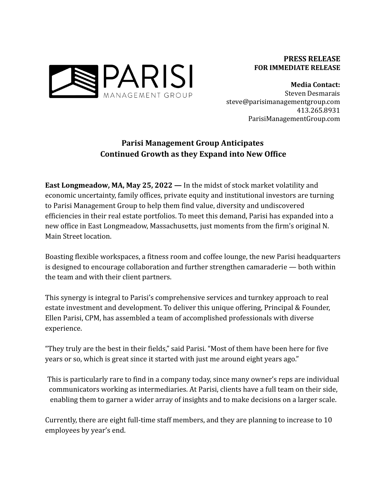

**Media Contact:** Steven Desmarais steve@parisimanagementgroup.com 413.265.8931 ParisiManagementGroup.com

## **Parisi Management Group Anticipates Continued Growth as they Expand into New Office**

**East Longmeadow, MA, May 25, 2022 —** In the midst of stock market volatility and economic uncertainty, family offices, private equity and institutional investors are turning to Parisi Management Group to help them find value, diversity and undiscovered efficiencies in their real estate portfolios. To meet this demand, Parisi has expanded into a new office in East Longmeadow, Massachusetts, just moments from the firm's original N. Main Street location.

Boasting flexible workspaces, a fitness room and coffee lounge, the new Parisi headquarters is designed to encourage collaboration and further strengthen camaraderie — both within the team and with their client partners.

This synergy is integral to Parisi's comprehensive services and turnkey approach to real estate investment and development. To deliver this unique offering, Principal & Founder, Ellen Parisi, CPM, has assembled a team of accomplished professionals with diverse experience.

"They truly are the best in their fields," said Parisi. "Most of them have been here for five years or so, which is great since it started with just me around eight years ago."

This is particularly rare to find in a company today, since many owner's reps are individual communicators working as intermediaries. At Parisi, clients have a full team on their side, enabling them to garner a wider array of insights and to make decisions on a larger scale.

Currently, there are eight full-time staff members, and they are planning to increase to 10 employees by year's end.